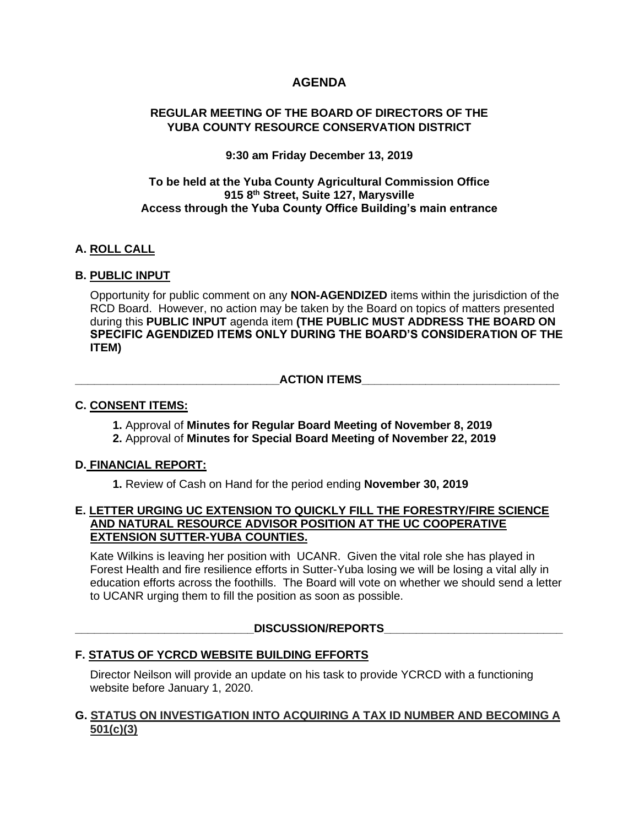# **AGENDA**

# **REGULAR MEETING OF THE BOARD OF DIRECTORS OF THE YUBA COUNTY RESOURCE CONSERVATION DISTRICT**

# **9:30 am Friday December 13, 2019**

# **To be held at the Yuba County Agricultural Commission Office 915 8th Street, Suite 127, Marysville Access through the Yuba County Office Building's main entrance**

# **A. ROLL CALL**

# **B. PUBLIC INPUT**

Opportunity for public comment on any **NON-AGENDIZED** items within the jurisdiction of the RCD Board. However, no action may be taken by the Board on topics of matters presented during this **PUBLIC INPUT** agenda item **(THE PUBLIC MUST ADDRESS THE BOARD ON SPECIFIC AGENDIZED ITEMS ONLY DURING THE BOARD'S CONSIDERATION OF THE ITEM)**

#### $\blacksquare$   $\blacksquare$   $\blacksquare$   $\blacksquare$   $\blacksquare$   $\blacksquare$   $\blacksquare$   $\blacksquare$   $\blacksquare$   $\blacksquare$   $\blacksquare$   $\blacksquare$   $\blacksquare$   $\blacksquare$   $\blacksquare$   $\blacksquare$   $\blacksquare$   $\blacksquare$   $\blacksquare$   $\blacksquare$   $\blacksquare$   $\blacksquare$   $\blacksquare$   $\blacksquare$   $\blacksquare$   $\blacksquare$   $\blacksquare$   $\blacksquare$   $\blacksquare$   $\blacksquare$   $\blacksquare$   $\blacksquare$

# **C. CONSENT ITEMS:**

**1.** Approval of **Minutes for Regular Board Meeting of November 8, 2019 2.** Approval of **Minutes for Special Board Meeting of November 22, 2019**

# **D. FINANCIAL REPORT:**

**1.** Review of Cash on Hand for the period ending **November 30, 2019**

#### **E. LETTER URGING UC EXTENSION TO QUICKLY FILL THE FORESTRY/FIRE SCIENCE AND NATURAL RESOURCE ADVISOR POSITION AT THE UC COOPERATIVE EXTENSION SUTTER-YUBA COUNTIES.**

Kate Wilkins is leaving her position with UCANR. Given the vital role she has played in Forest Health and fire resilience efforts in Sutter-Yuba losing we will be losing a vital ally in education efforts across the foothills. The Board will vote on whether we should send a letter to UCANR urging them to fill the position as soon as possible.

# DISCUSSION/REPORTS

# **F. STATUS OF YCRCD WEBSITE BUILDING EFFORTS**

Director Neilson will provide an update on his task to provide YCRCD with a functioning website before January 1, 2020.

# **G. STATUS ON INVESTIGATION INTO ACQUIRING A TAX ID NUMBER AND BECOMING A 501(c)(3)**